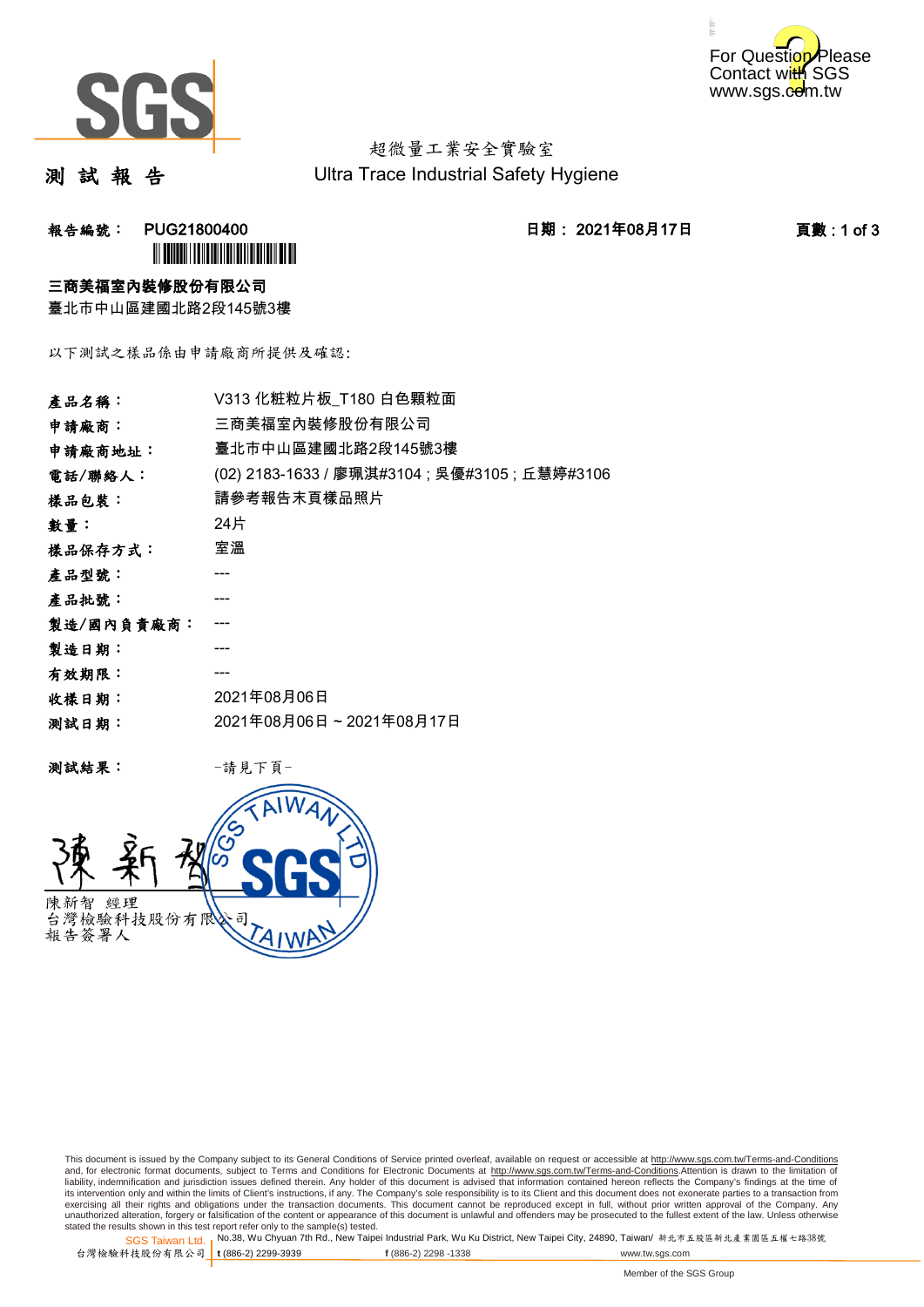



超微量工業安全實驗室 Ultra Trace Industrial Safety Hygiene

測 試 報 告

报告編號: PUG21800400 2021 - 2021年08月17日 2021年08月17日 - 1 1 页數:1 of 3 **ÌN BUGATH I DI LI DI LI DI LI DI LI DI** 

#### 三商美福室內裝修股份有限公司

臺北市中山區建國北路2段145號3樓

以下測試之樣品係由申請廠商所提供及確認:

| 產品名稱:      | V313 化粧粒片板_T180 白色顆粒面                          |
|------------|------------------------------------------------|
| 申請廠商:      | 三商美福室內裝修股份有限公司                                 |
| 申請廠商地址:    | 臺北市中山區建國北路2段145號3樓                             |
| 電話/聯絡人:    | (02) 2183-1633 / 廖珮淇#3104 ; 吳優#3105 ; 丘慧婷#3106 |
| 樣品包裝:      | 請參考報告末頁樣品照片                                    |
| 數量:        | 24片                                            |
| 樣品保存方式:    | 室溫                                             |
| 產品型號:      |                                                |
| 產品批號:      |                                                |
| 製造/國內負責廠商: |                                                |
| 製造日期:      |                                                |
| 有效期限:      |                                                |
| 收樣日期:      | 2021年08月06日                                    |
| 测試日期:      | 2021年08月06日~2021年08月17日                        |
|            |                                                |

测試結果: 一請見下頁



This document is issued by the Company subject to its General Conditions of Service printed overleaf, available on request or accessible at http://www.sgs.com.tw/Terms-and-Conditions and, for electronic format documents, subject to Terms and Conditions for Electronic Documents at <u>http://www.sgs.com.tw/Terms-and-Conditions</u>.Attention is drawn to the limitation of<br>liability, indemnification and jurisdic exercising all their rights and obligations under the transaction documents. This document cannot be reproduced except in full, without prior written approval of the Company. Any<br>unauthorized alteration, forgery or falsifi

SGS Taiwan Ltd. 1 stated the results shown in this test report refer only to the sample(s) tested.<br>Stated the results shown in this test report refer only to the sample(s) tested.

台灣檢驗科技股份有限公司

```
t (886-2) 2299-3939 f (886-2) 2298 -1338 www.tw.sgs.com
```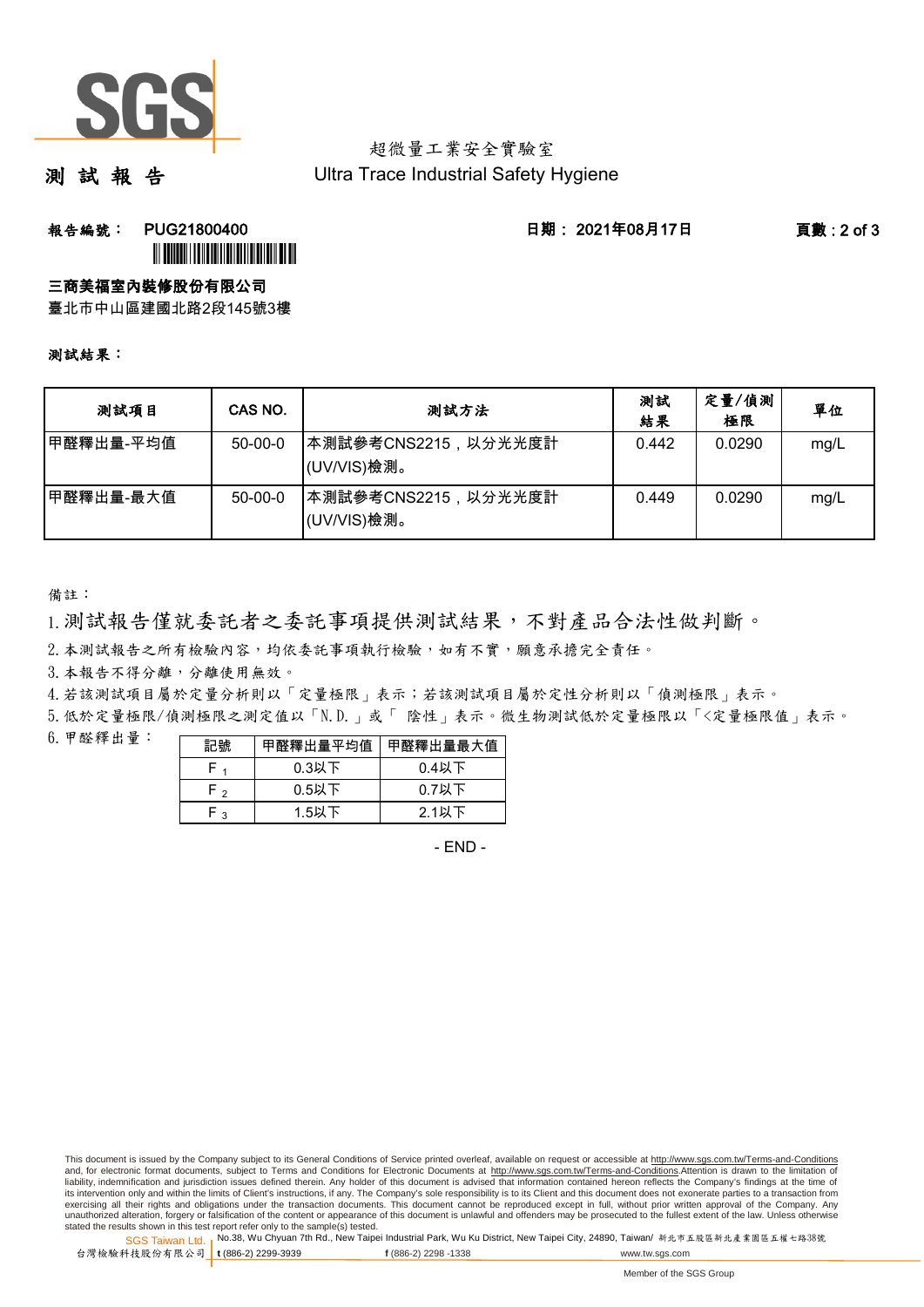

### 超微量工業安全實驗室 Ultra Trace Industrial Safety Hygiene

測 試 報 告

## **報告編號: PUG21800400 日期: 2021年08月17日 頁數:2 of 3 ÌN DIANA NA MARA A CHAIR AN AN DIANA NA MAR**

三商美福室內裝修股份有限公司

臺北市中山區建國北路2段145號3樓

#### 測試結果:

| 测試項目      | CAS NO.       | 测試方法                                | 測試<br>結果 | 定量/偵測<br>極限 | 單位   |
|-----------|---------------|-------------------------------------|----------|-------------|------|
| 甲醛釋出量-平均值 | $50-00-0$     | 本測試參考CNS2215, 以分光光度計<br>(UV/VIS)檢測。 | 0.442    | 0.0290      | mg/L |
| 甲醛釋出量-最大值 | $50 - 00 - 0$ | ┃本測試參考CNS2215,以分光光度計<br>(UV/VIS)檢測。 | 0.449    | 0.0290      | mg/L |

備註:

1.測試報告僅就委託者之委託事項提供測試結果,不對產品合法性做判斷。

2. 本測試報告之所有檢驗內容,均依委託事項執行檢驗,如有不實,願意承擔完全責任。

3. 本報告不得分離,分離使用無效。

4.若該測試項目屬於定量分析則以「定量極限」表示;若該測試項目屬於定性分析則以「偵測極限」表示。

5.低於定量極限/偵測極限之測定值以「N.D.」或「 陰性」表示。微生物測試低於定量極限以「<定量極限值」表示。

6.甲醛釋出量:

| 記號  | 甲醛釋出量平均值 | 甲醛釋出量最大值 |
|-----|----------|----------|
|     | $0.3$ 以下 | $0.4$ 以下 |
| - ا | $0.5$ 以下 | $0.7$ 以下 |
| ົ   | $1.5$ 以下 | $2.1$ 以下 |

 $-$  FND $-$ 

SGS Taiwan Ltd. 1 stated the results shown in this test report refer only to the sample(s) tested.<br>Stated the results shown in this test report refer only to the sample(s) tested.

台灣檢驗科技股份有限公司

This document is issued by the Company subject to its General Conditions of Service printed overleaf, available on request or accessible at http://www.sgs.com.tw/Terms-and-Conditions and, for electronic format documents, subject to Terms and Conditions for Electronic Documents at http://www.sgs.com.tw/Terms-and-Conditions.Attention is drawn to the limitation of liability, indemnification and jurisdiction issues defined therein. Any holder of this document is advised that information contained hereon reflects the Company's findings at the time of<br>its intervention only and within t exercising all their rights and obligations under the transaction documents. This document cannot be reproduced except in full, without prior written approval of the Company. Any<br>unauthorized alteration, forgery or falsifi